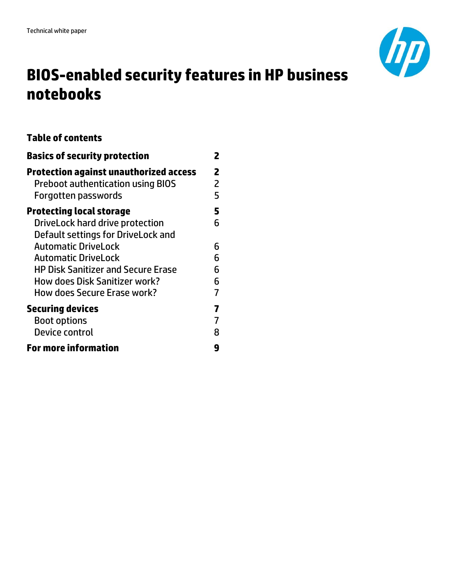

# **BIOS-enabled security features in HP business notebooks**

## **Table of contents**

| <b>Basics of security protection</b>                                                      |        |  |
|-------------------------------------------------------------------------------------------|--------|--|
| <b>Protection against unauthorized access</b><br><b>Preboot authentication using BIOS</b> | 2<br>2 |  |
| Forgotten passwords                                                                       | 5      |  |
| <b>Protecting local storage</b>                                                           | 5      |  |
| DriveLock hard drive protection<br>Default settings for DriveLock and                     | 6      |  |
| <b>Automatic DriveLock</b>                                                                | 6      |  |
| Automatic DriveLock                                                                       | 6      |  |
| <b>HP Disk Sanitizer and Secure Erase</b>                                                 | 6      |  |
| <b>How does Disk Sanitizer work?</b>                                                      | 6      |  |
| How does Secure Erase work?                                                               | 7      |  |
| <b>Securing devices</b>                                                                   |        |  |
| <b>Boot options</b>                                                                       |        |  |
| Device control                                                                            | 8      |  |
| <b>For more information</b>                                                               | q      |  |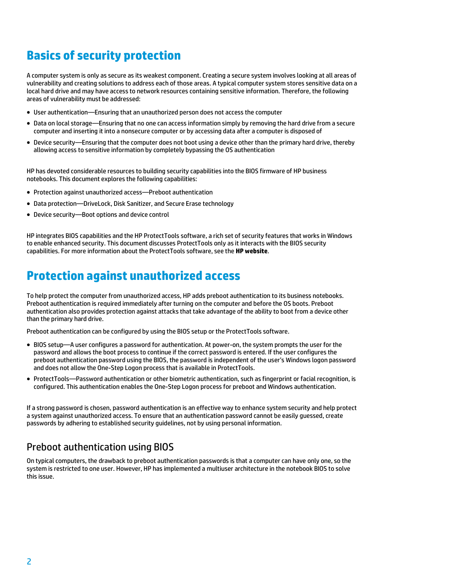## <span id="page-1-0"></span>**Basics of security protection**

A computer system is only as secure as its weakest component. Creating a secure system involves looking at all areas of vulnerability and creating solutions to address each of those areas. A typical computer system stores sensitive data on a local hard drive and may have access to network resources containing sensitive information. Therefore, the following areas of vulnerability must be addressed:

- User authentication—Ensuring that an unauthorized person does not access the computer
- Data on local storage—Ensuring that no one can access information simply by removing the hard drive from a secure computer and inserting it into a nonsecure computer or by accessing data after a computer is disposed of
- Device security—Ensuring that the computer does not boot using a device other than the primary hard drive, thereby allowing access to sensitive information by completely bypassing the OS authentication

HP has devoted considerable resources to building security capabilities into the BIOS firmware of HP business notebooks. This document explores the following capabilities:

- Protection against unauthorized access—Preboot authentication
- Data protection—DriveLock, Disk Sanitizer, and Secure Erase technology
- Device security—Boot options and device control

HP integrates BIOS capabilities and the HP ProtectTools software, a rich set of security features that works in Windows to enable enhanced security. This document discusses ProtectTools only as it interacts with the BIOS security capabilities. For more information about the ProtectTools software, see the **[HP website](http://h20331.www2.hp.com/hpsub/cache/281822-0-0-225-121.html)**.

## <span id="page-1-1"></span>**Protection against unauthorized access**

To help protect the computer from unauthorized access, HP adds preboot authentication to its business notebooks. Preboot authentication is required immediately after turning on the computer and before the OS boots. Preboot authentication also provides protection against attacks that take advantage of the ability to boot from a device other than the primary hard drive.

Preboot authentication can be configured by using the BIOS setup or the ProtectTools software.

- BIOS setup—A user configures a password for authentication. At power-on, the system prompts the user for the password and allows the boot process to continue if the correct password is entered. If the user configures the preboot authentication password using the BIOS, the password is independent of the user's Windows logon password and does not allow the One-Step Logon process that is available in ProtectTools.
- ProtectTools—Password authentication or other biometric authentication, such as fingerprint or facial recognition, is configured. This authentication enables the One-Step Logon process for preboot and Windows authentication.

If a strong password is chosen, password authentication is an effective way to enhance system security and help protect a system against unauthorized access. To ensure that an authentication password cannot be easily guessed, create passwords by adhering to established security guidelines, not by using personal information.

### <span id="page-1-2"></span>Preboot authentication using BIOS

On typical computers, the drawback to preboot authentication passwords is that a computer can have only one, so the system is restricted to one user. However, HP has implemented a multiuser architecture in the notebook BIOS to solve this issue.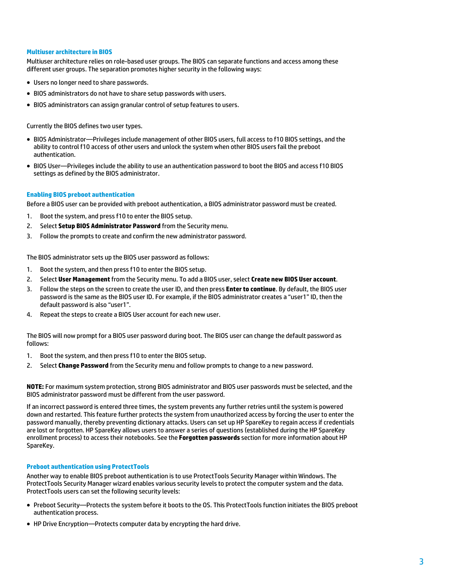#### **Multiuser architecture in BIOS**

Multiuser architecture relies on role-based user groups. The BIOS can separate functions and access among these different user groups. The separation promotes higher security in the following ways:

- Users no longer need to share passwords.
- BIOS administrators do not have to share setup passwords with users.
- BIOS administrators can assign granular control of setup features to users.

Currently the BIOS defines two user types.

- BIOS Administrator—Privileges include management of other BIOS users, full access to f10 BIOS settings, and the ability to control f10 access of other users and unlock the system when other BIOS users fail the preboot authentication.
- BIOS User—Privileges include the ability to use an authentication password to boot the BIOS and access f10 BIOS settings as defined by the BIOS administrator.

#### **Enabling BIOS preboot authentication**

Before a BIOS user can be provided with preboot authentication, a BIOS administrator password must be created.

- 1. Boot the system, and press f10 to enter the BIOS setup.
- 2. Select **Setup BIOS Administrator Password** from the Security menu.
- 3. Follow the prompts to create and confirm the new administrator password.

The BIOS administrator sets up the BIOS user password as follows:

- 1. Boot the system, and then press f10 to enter the BIOS setup.
- 2. Select **User Management** from the Security menu. To add a BIOS user, select **Create new BIOS User account**.
- 3. Follow the steps on the screen to create the user ID, and then press **Enter to continue**. By default, the BIOS user password is the same as the BIOS user ID. For example, if the BIOS administrator creates a "user1" ID, then the default password is also "user1".
- 4. Repeat the steps to create a BIOS User account for each new user.

The BIOS will now prompt for a BIOS user password during boot. The BIOS user can change the default password as follows:

- 1. Boot the system, and then press f10 to enter the BIOS setup.
- 2. Select **Change Password** from the Security menu and follow prompts to change to a new password.

**NOTE:** For maximum system protection, strong BIOS administrator and BIOS user passwords must be selected, and the BIOS administrator password must be different from the user password.

If an incorrect password is entered three times, the system prevents any further retries until the system is powered down and restarted. This feature further protects the system from unauthorized access by forcing the user to enter the password manually, thereby preventing dictionary attacks. Users can set up HP SpareKey to regain access if credentials are lost or forgotten. HP SpareKey allows users to answer a series of questions (established during the HP SpareKey enrollment process) to access their notebooks. See the **[Forgotten passwords](#page-4-0)** section for more information about HP SpareKey.

### **Preboot authentication using ProtectTools**

Another way to enable BIOS preboot authentication is to use ProtectTools Security Manager within Windows. The ProtectTools Security Manager wizard enables various security levels to protect the computer system and the data. ProtectTools users can set the following security levels:

- Preboot Security—Protects the system before it boots to the OS. This ProtectTools function initiates the BIOS preboot authentication process.
- HP Drive Encryption—Protects computer data by encrypting the hard drive.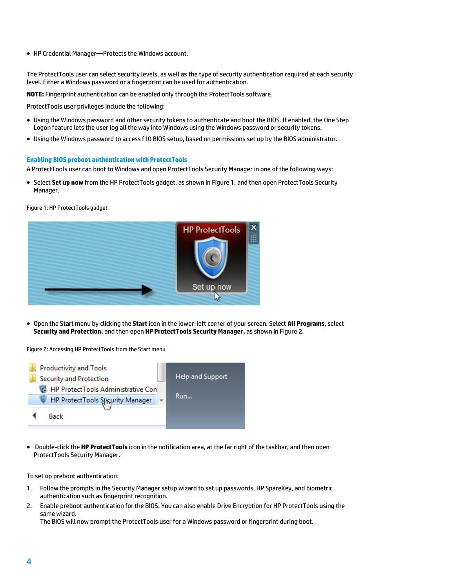HP Credential Manager—Protects the Windows account.

The ProtectTools user can select security levels, as well as the type of security authentication required at each security level. Either a Windows password or a fingerprint can be used for authentication.

**NOTE:** Fingerprint authentication can be enabled only through the ProtectTools software.

ProtectTools user privileges include the following:

- Using the Windows password and other security tokens to authenticate and boot the BIOS. If enabled, the One Step Logon feature lets the user log all the way into Windows using the Windows password or security tokens.
- Using the Windows password to access f10 BIOS setup, based on permissions set up by the BIOS administrator.

#### **Enabling BIOS preboot authentication with ProtectTools**

A ProtectTools user can boot to Windows and open ProtectTools Security Manager in one of the following ways:

 Select **Set up now** from the HP ProtectTools gadget, as shown in Figure 1, and then open ProtectTools Security Manager.

Figure 1: HP ProtectTools gadget



 Open the Start menu by clicking the **Start** icon in the lower-left corner of your screen. Select **All Programs**, select **Security and Protection,** and then open **HP ProtectTools Security Manager,** as shown in Figure 2.

Figure 2: Accessing HP ProtectTools from the Start menu



 Double-click the **HP ProtectTools** icon in the notification area, at the far right of the taskbar, and then open ProtectTools Security Manager.

To set up preboot authentication:

- 1. Follow the prompts in the Security Manager setup wizard to set up passwords, HP SpareKey, and biometric authentication such as fingerprint recognition.
- 2. Enable preboot authentication for the BIOS. You can also enable Drive Encryption for HP ProtectTools using the same wizard.

The BIOS will now prompt the ProtectTools user for a Windows password or fingerprint during boot.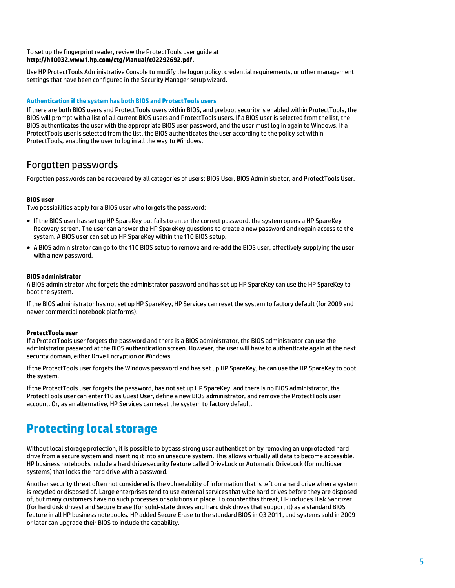### To set up the fingerprint reader, review the ProtectTools user guide at **<http://h10032.www1.hp.com/ctg/Manual/c02292692.pdf>**.

Use HP ProtectTools Administrative Console to modify the logon policy, credential requirements, or other management settings that have been configured in the Security Manager setup wizard.

### **Authentication if the system has both BIOS and ProtectTools users**

If there are both BIOS users and ProtectTools users within BIOS, and preboot security is enabled within ProtectTools, the BIOS will prompt with a list of all current BIOS users and ProtectTools users. If a BIOS user is selected from the list, the BIOS authenticates the user with the appropriate BIOS user password, and the user must log in again to Windows. If a ProtectTools user is selected from the list, the BIOS authenticates the user according to the policy set within ProtectTools, enabling the user to log in all the way to Windows.

## <span id="page-4-0"></span>Forgotten passwords

Forgotten passwords can be recovered by all categories of users: BIOS User, BIOS Administrator, and ProtectTools User.

### **BIOS user**

Two possibilities apply for a BIOS user who forgets the password:

- If the BIOS user has set up HP SpareKey but fails to enter the correct password, the system opens a HP SpareKey Recovery screen. The user can answer the HP SpareKey questions to create a new password and regain access to the system. A BIOS user can set up HP SpareKey within the f10 BIOS setup.
- A BIOS administrator can go to the f10 BIOS setup to remove and re-add the BIOS user, effectively supplying the user with a new password.

### **BIOS administrator**

A BIOS administrator who forgets the administrator password and has set up HP SpareKey can use the HP SpareKey to boot the system.

If the BIOS administrator has not set up HP SpareKey, HP Services can reset the system to factory default (for 2009 and newer commercial notebook platforms).

### **ProtectTools user**

If a ProtectTools user forgets the password and there is a BIOS administrator, the BIOS administrator can use the administrator password at the BIOS authentication screen. However, the user will have to authenticate again at the next security domain, either Drive Encryption or Windows.

If the ProtectTools user forgets the Windows password and has set up HP SpareKey, he can use the HP SpareKey to boot the system.

If the ProtectTools user forgets the password, has not set up HP SpareKey, and there is no BIOS administrator, the ProtectTools user can enter f10 as Guest User, define a new BIOS administrator, and remove the ProtectTools user account. Or, as an alternative, HP Services can reset the system to factory default.

## <span id="page-4-1"></span>**Protecting local storage**

Without local storage protection, it is possible to bypass strong user authentication by removing an unprotected hard drive from a secure system and inserting it into an unsecure system. This allows virtually all data to become accessible. HP business notebooks include a hard drive security feature called DriveLock or Automatic DriveLock (for multiuser systems) that locks the hard drive with a password.

Another security threat often not considered is the vulnerability of information that is left on a hard drive when a system is recycled or disposed of. Large enterprises tend to use external services that wipe hard drives before they are disposed of, but many customers have no such processes or solutions in place. To counter this threat, HP includes Disk Sanitizer (for hard disk drives) and Secure Erase (for solid-state drives and hard disk drives that support it) as a standard BIOS feature in all HP business notebooks. HP added Secure Erase to the standard BIOS in Q3 2011, and systems sold in 2009 or later can upgrade their BIOS to include the capability.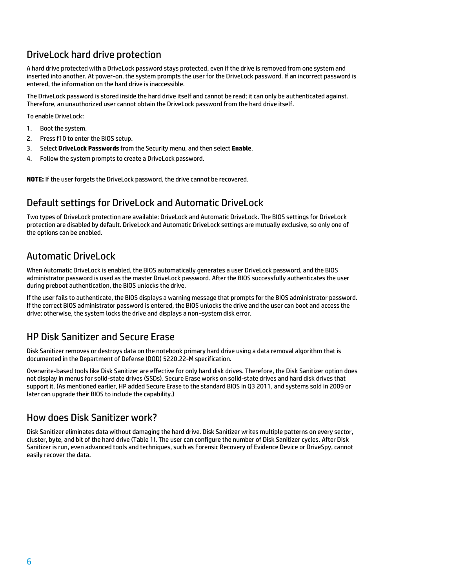## <span id="page-5-0"></span>DriveLock hard drive protection

A hard drive protected with a DriveLock password stays protected, even if the drive is removed from one system and inserted into another. At power-on, the system prompts the user for the DriveLock password. If an incorrect password is entered, the information on the hard drive is inaccessible.

The DriveLock password is stored inside the hard drive itself and cannot be read; it can only be authenticated against. Therefore, an unauthorized user cannot obtain the DriveLock password from the hard drive itself.

To enable DriveLock:

- 1. Boot the system.
- 2. Press f10 to enter the BIOS setup.
- 3. Select **DriveLock Passwords** from the Security menu, and then select **Enable**.
- 4. Follow the system prompts to create a DriveLock password.

**NOTE:** If the user forgets the DriveLock password, the drive cannot be recovered.

## <span id="page-5-1"></span>Default settings for DriveLock and Automatic DriveLock

Two types of DriveLock protection are available: DriveLock and Automatic DriveLock. The BIOS settings for DriveLock protection are disabled by default. DriveLock and Automatic DriveLock settings are mutually exclusive, so only one of the options can be enabled.

## <span id="page-5-2"></span>Automatic DriveLock

When Automatic DriveLock is enabled, the BIOS automatically generates a user DriveLock password, and the BIOS administrator password is used as the master DriveLock password. After the BIOS successfully authenticates the user during preboot authentication, the BIOS unlocks the drive.

If the user fails to authenticate, the BIOS displays a warning message that prompts for the BIOS administrator password. If the correct BIOS administrator password is entered, the BIOS unlocks the drive and the user can boot and access the drive; otherwise, the system locks the drive and displays a non−system disk error.

## <span id="page-5-3"></span>HP Disk Sanitizer and Secure Erase

Disk Sanitizer removes or destroys data on the notebook primary hard drive using a data removal algorithm that is documented in the Department of Defense (DOD) 5220.22-M specification.

Overwrite-based tools like Disk Sanitizer are effective for only hard disk drives. Therefore, the Disk Sanitizer option does not display in menus for solid-state drives (SSDs). Secure Erase works on solid-state drives and hard disk drives that support it. (As mentioned earlier, HP added Secure Erase to the standard BIOS in Q3 2011, and systems sold in 2009 or later can upgrade their BIOS to include the capability.)

### <span id="page-5-4"></span>How does Disk Sanitizer work?

Disk Sanitizer eliminates data without damaging the hard drive. Disk Sanitizer writes multiple patterns on every sector, cluster, byte, and bit of the hard drive (Table 1). The user can configure the number of Disk Sanitizer cycles. After Disk Sanitizer is run, even advanced tools and techniques, such as Forensic Recovery of Evidence Device or DriveSpy, cannot easily recover the data.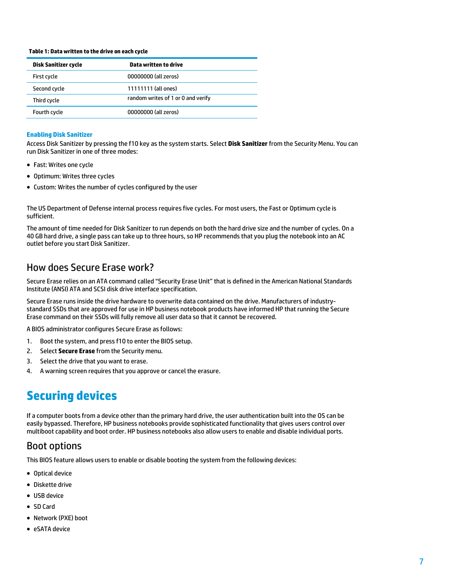#### **Table 1: Data written to the drive on each cycle**

| Data written to drive              |
|------------------------------------|
| 00000000 (all zeros)               |
| 11111111 (all ones)                |
| random writes of 1 or 0 and verify |
| 00000000 (all zeros)               |
|                                    |

### **Enabling Disk Sanitizer**

Access Disk Sanitizer by pressing the f10 key as the system starts. Select **Disk Sanitizer** from the Security Menu. You can run Disk Sanitizer in one of three modes:

- Fast: Writes one cycle
- Optimum: Writes three cycles
- Custom: Writes the number of cycles configured by the user

The US Department of Defense internal process requires five cycles. For most users, the Fast or Optimum cycle is sufficient.

The amount of time needed for Disk Sanitizer to run depends on both the hard drive size and the number of cycles. On a 40 GB hard drive, a single pass can take up to three hours, so HP recommends that you plug the notebook into an AC outlet before you start Disk Sanitizer.

### <span id="page-6-0"></span>How does Secure Erase work?

Secure Erase relies on an ATA command called "Security Erase Unit" that is defined in the American National Standards Institute (ANSI) ATA and SCSI disk drive interface specification.

Secure Erase runs inside the drive hardware to overwrite data contained on the drive. Manufacturers of industrystandard SSDs that are approved for use in HP business notebook products have informed HP that running the Secure Erase command on their SSDs will fully remove all user data so that it cannot be recovered.

A BIOS administrator configures Secure Erase as follows:

- 1. Boot the system, and press f10 to enter the BIOS setup.
- 2. Select **Secure Erase** from the Security menu.
- 3. Select the drive that you want to erase.
- 4. A warning screen requires that you approve or cancel the erasure.

## <span id="page-6-1"></span>**Securing devices**

If a computer boots from a device other than the primary hard drive, the user authentication built into the OS can be easily bypassed. Therefore, HP business notebooks provide sophisticated functionality that gives users control over multiboot capability and boot order. HP business notebooks also allow users to enable and disable individual ports.

### <span id="page-6-2"></span>Boot options

This BIOS feature allows users to enable or disable booting the system from the following devices:

- Optical device
- Diskette drive
- USB device
- SD Card
- Network (PXE) boot
- eSATA device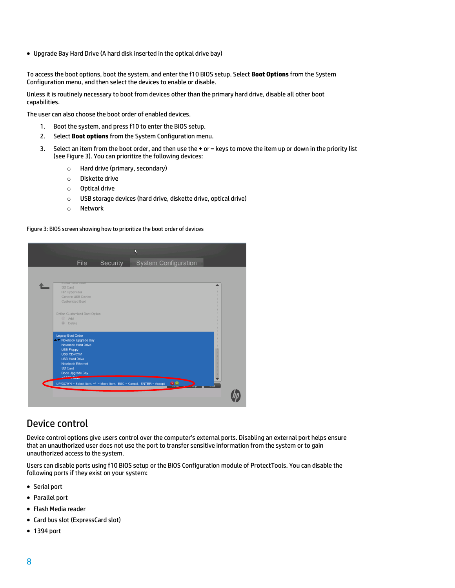Upgrade Bay Hard Drive (A hard disk inserted in the optical drive bay)

To access the boot options, boot the system, and enter the f10 BIOS setup. Select **Boot Options** from the System Configuration menu, and then select the devices to enable or disable.

Unless it is routinely necessary to boot from devices other than the primary hard drive, disable all other boot capabilities.

The user can also choose the boot order of enabled devices.

- 1. Boot the system, and press f10 to enter the BIOS setup.
- 2. Select **Boot options** from the System Configuration menu.
- 3. Select an item from the boot order, and then use the **+** or **–** keys to move the item up or down in the priority list (see Figure 3). You can prioritize the following devices:
	- o Hard drive (primary, secondary)
	- o Diskette drive
	- o Optical drive
	- o USB storage devices (hard drive, diskette drive, optical drive)
	- o Network

Figure 3: BIOS screen showing how to prioritize the boot order of devices

|                                                                      |          | N |                             |             |
|----------------------------------------------------------------------|----------|---|-----------------------------|-------------|
| File                                                                 | Security |   | <b>System Configuration</b> |             |
|                                                                      |          |   |                             |             |
| <b>CODID TRITU DITYC</b>                                             |          |   |                             |             |
| SD Card                                                              |          |   |                             |             |
| <b>HP Hypervisor</b>                                                 |          |   |                             |             |
| Generic USB Device                                                   |          |   |                             |             |
| <b>Customized Boot</b>                                               |          |   |                             |             |
|                                                                      |          |   |                             |             |
| Define Customized Boot Option<br>Add                                 |          |   |                             |             |
| <b>Delete</b>                                                        |          |   |                             |             |
|                                                                      |          |   |                             |             |
| <b>Legacy Boot Order</b>                                             |          |   |                             |             |
| Notebook Upgrade Bay                                                 |          |   |                             |             |
| Notebook Hard Drive                                                  |          |   |                             |             |
| <b>USB Floppy</b>                                                    |          |   |                             |             |
| <b>USB CD-ROM</b><br><b>USB Hard Drive</b>                           |          |   |                             |             |
| <b>Notebook Ethernet</b>                                             |          |   |                             |             |
| SD Card                                                              |          |   |                             |             |
| Dock Upgrade Bay                                                     |          |   |                             |             |
| $68A T + 6$                                                          |          |   |                             |             |
| UP/DOWN = Select Item, +/- = Move Item, ESC = Cancel, ENTER = Accept |          |   | 82<br>نواكم                 | <b>CONT</b> |
|                                                                      |          |   |                             |             |
|                                                                      |          |   |                             |             |

### <span id="page-7-0"></span>Device control

Device control options give users control over the computer's external ports. Disabling an external port helps ensure that an unauthorized user does not use the port to transfer sensitive information from the system or to gain unauthorized access to the system.

Users can disable ports using f10 BIOS setup or the BIOS Configuration module of ProtectTools. You can disable the following ports if they exist on your system:

- Serial port
- Parallel port
- Flash Media reader
- Card bus slot (ExpressCard slot)
- 1394 port